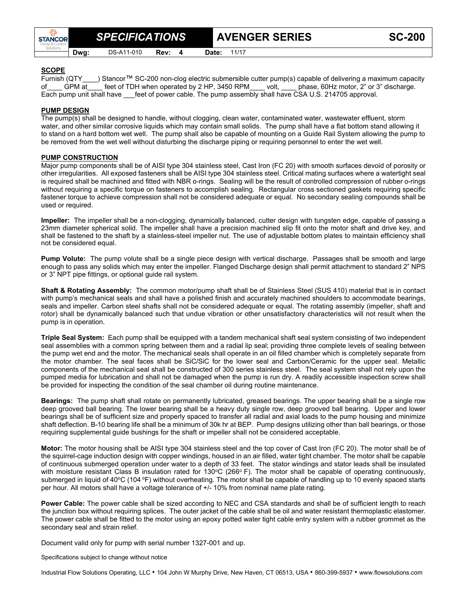**Dwg:** DS-A11-010 **Rev: 4 Date:** 11/17

**SPECIFICATIONS** AVENGER SERIES SC-200

## **SCOPE**

**STANCOR** 

Furnish (QTY\_\_\_\_) Stancor™ SC-200 non-clog electric submersible cutter pump(s) capable of delivering a maximum capacity of GPM at feet of TDH when operated by 2 HP, 3450 RPM\_\_\_\_ volt, \_\_\_\_ phase, 60Hz motor, 2" or 3" discharge. Each pump unit shall have feet of power cable. The pump assembly shall have CSA U.S. 214705 approval.

## **PUMP DESIGN**

The pump(s) shall be designed to handle, without clogging, clean water, contaminated water, wastewater effluent, storm water, and other similar corrosive liquids which may contain small solids. The pump shall have a flat bottom stand allowing it to stand on a hard bottom wet well. The pump shall also be capable of mounting on a Guide Rail System allowing the pump to be removed from the wet well without disturbing the discharge piping or requiring personnel to enter the wet well.

## **PUMP CONSTRUCTION**

Major pump components shall be of AISI type 304 stainless steel, Cast Iron (FC 20) with smooth surfaces devoid of porosity or other irregularities. All exposed fasteners shall be AISI type 304 stainless steel. Critical mating surfaces where a watertight seal is required shall be machined and fitted with NBR o-rings. Sealing will be the result of controlled compression of rubber o-rings without requiring a specific torque on fasteners to accomplish sealing. Rectangular cross sectioned gaskets requiring specific fastener torque to achieve compression shall not be considered adequate or equal. No secondary sealing compounds shall be used or required.

**Impeller:** The impeller shall be a non-clogging, dynamically balanced, cutter design with tungsten edge, capable of passing a 23mm diameter spherical solid. The impeller shall have a precision machined slip fit onto the motor shaft and drive key, and shall be fastened to the shaft by a stainless-steel impeller nut. The use of adjustable bottom plates to maintain efficiency shall not be considered equal.

**Pump Volute:** The pump volute shall be a single piece design with vertical discharge. Passages shall be smooth and large enough to pass any solids which may enter the impeller. Flanged Discharge design shall permit attachment to standard 2" NPS or 3" NPT pipe fittings, or optional guide rail system.

**Shaft & Rotating Assembly:** The common motor/pump shaft shall be of Stainless Steel (SUS 410) material that is in contact with pump's mechanical seals and shall have a polished finish and accurately machined shoulders to accommodate bearings, seals and impeller. Carbon steel shafts shall not be considered adequate or equal. The rotating assembly (impeller, shaft and rotor) shall be dynamically balanced such that undue vibration or other unsatisfactory characteristics will not result when the pump is in operation.

**Triple Seal System:** Each pump shall be equipped with a tandem mechanical shaft seal system consisting of two independent seal assemblies with a common spring between them and a radial lip seal; providing three complete levels of sealing between the pump wet end and the motor. The mechanical seals shall operate in an oil filled chamber which is completely separate from the motor chamber. The seal faces shall be SiC/SiC for the lower seal and Carbon/Ceramic for the upper seal. Metallic components of the mechanical seal shall be constructed of 300 series stainless steel. The seal system shall not rely upon the pumped media for lubrication and shall not be damaged when the pump is run dry. A readily accessible inspection screw shall be provided for inspecting the condition of the seal chamber oil during routine maintenance.

**Bearings:** The pump shaft shall rotate on permanently lubricated, greased bearings. The upper bearing shall be a single row deep grooved ball bearing. The lower bearing shall be a heavy duty single row, deep grooved ball bearing. Upper and lower bearings shall be of sufficient size and properly spaced to transfer all radial and axial loads to the pump housing and minimize shaft deflection. B-10 bearing life shall be a minimum of 30k hr at BEP. Pump designs utilizing other than ball bearings, or those requiring supplemental guide bushings for the shaft or impeller shall not be considered acceptable.

**Motor:** The motor housing shall be AISI type 304 stainless steel and the top cover of Cast Iron (FC 20). The motor shall be of the squirrel-cage induction design with copper windings, housed in an air filled, water tight chamber. The motor shall be capable of continuous submerged operation under water to a depth of 33 feet. The stator windings and stator leads shall be insulated with moisture resistant Class B insulation rated for 130 $^{\circ}$ C (266 $^{\circ}$  F). The motor shall be capable of operating continuously, submerged in liquid of 40°C (104 °F) without overheating. The motor shall be capable of handling up to 10 evenly spaced starts per hour. All motors shall have a voltage tolerance of +/- 10% from nominal name plate rating.

**Power Cable:** The power cable shall be sized according to NEC and CSA standards and shall be of sufficient length to reach the junction box without requiring splices. The outer jacket of the cable shall be oil and water resistant thermoplastic elastomer. The power cable shall be fitted to the motor using an epoxy potted water tight cable entry system with a rubber grommet as the secondary seal and strain relief.

Document valid only for pump with serial number 1327-001 and up.

Specifications subject to change without notice

Industrial Flow Solutions Operating, LLC • 104 John W Murphy Drive, New Haven, CT 06513, USA • 860-399-5937 • www.flowsolutions.com